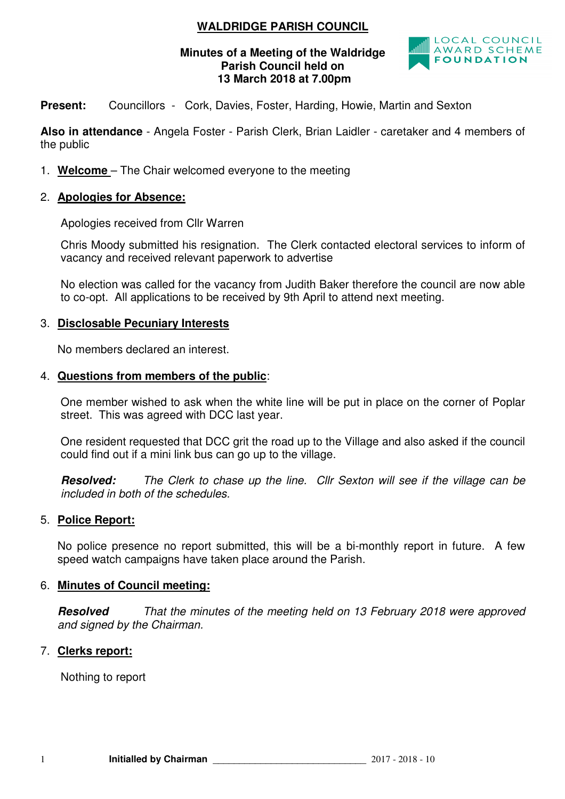## **WALDRIDGE PARISH COUNCIL**

#### **Minutes of a Meeting of the Waldridge Parish Council held on 13 March 2018 at 7.00pm**



**Present:** Councillors - Cork, Davies, Foster, Harding, Howie, Martin and Sexton

**Also in attendance** - Angela Foster - Parish Clerk, Brian Laidler - caretaker and 4 members of the public

1. **Welcome** – The Chair welcomed everyone to the meeting

#### 2. **Apologies for Absence:**

Apologies received from Cllr Warren

 Chris Moody submitted his resignation. The Clerk contacted electoral services to inform of vacancy and received relevant paperwork to advertise

 No election was called for the vacancy from Judith Baker therefore the council are now able to co-opt. All applications to be received by 9th April to attend next meeting.

### 3. **Disclosable Pecuniary Interests**

No members declared an interest.

#### 4. **Questions from members of the public**:

One member wished to ask when the white line will be put in place on the corner of Poplar street. This was agreed with DCC last year.

One resident requested that DCC grit the road up to the Village and also asked if the council could find out if a mini link bus can go up to the village.

**Resolved:** The Clerk to chase up the line. Cllr Sexton will see if the village can be included in both of the schedules.

#### 5. **Police Report:**

No police presence no report submitted, this will be a bi-monthly report in future. A few speed watch campaigns have taken place around the Parish.

#### 6. **Minutes of Council meeting:**

**Resolved** That the minutes of the meeting held on 13 February 2018 were approved and signed by the Chairman.

## 7. **Clerks report:**

Nothing to report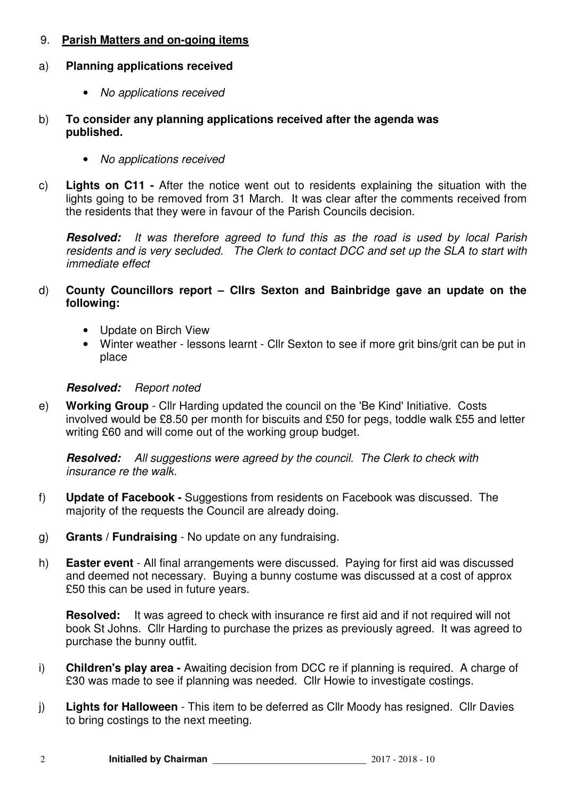## 9. **Parish Matters and on-going items**

### a) **Planning applications received**

- No applications received
- b) **To consider any planning applications received after the agenda was published.** 
	- No applications received
- c) **Lights on C11** After the notice went out to residents explaining the situation with the lights going to be removed from 31 March. It was clear after the comments received from the residents that they were in favour of the Parish Councils decision.

**Resolved:** It was therefore agreed to fund this as the road is used by local Parish residents and is very secluded. The Clerk to contact DCC and set up the SLA to start with immediate effect

- d) **County Councillors report Cllrs Sexton and Bainbridge gave an update on the following:** 
	- Update on Birch View
	- Winter weather lessons learnt Cllr Sexton to see if more grit bins/grit can be put in place

### **Resolved:** Report noted

e) **Working Group** - Cllr Harding updated the council on the 'Be Kind' Initiative. Costs involved would be £8.50 per month for biscuits and £50 for pegs, toddle walk £55 and letter writing £60 and will come out of the working group budget.

**Resolved:** All suggestions were agreed by the council. The Clerk to check with insurance re the walk.

- f) **Update of Facebook** Suggestions from residents on Facebook was discussed. The majority of the requests the Council are already doing.
- g) **Grants / Fundraising**  No update on any fundraising.
- h) **Easter event**  All final arrangements were discussed. Paying for first aid was discussed and deemed not necessary. Buying a bunny costume was discussed at a cost of approx £50 this can be used in future years.

**Resolved:** It was agreed to check with insurance re first aid and if not required will not book St Johns. Cllr Harding to purchase the prizes as previously agreed. It was agreed to purchase the bunny outfit.

- i) **Children's play area** Awaiting decision from DCC re if planning is required. A charge of £30 was made to see if planning was needed. Cllr Howie to investigate costings.
- j) **Lights for Halloween** This item to be deferred as Cllr Moody has resigned. Cllr Davies to bring costings to the next meeting.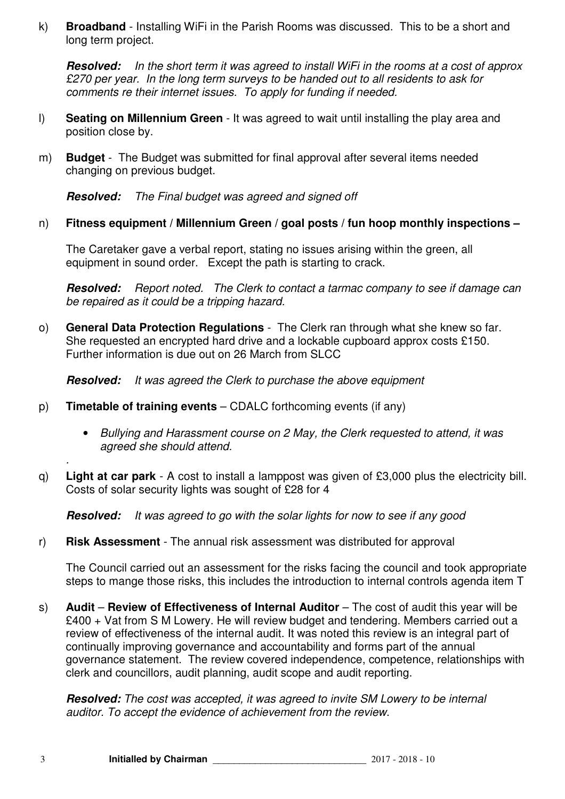k) **Broadband** - Installing WiFi in the Parish Rooms was discussed. This to be a short and long term project.

**Resolved:** In the short term it was agreed to install WiFi in the rooms at a cost of approx £270 per year. In the long term surveys to be handed out to all residents to ask for comments re their internet issues. To apply for funding if needed.

- l) **Seating on Millennium Green**  It was agreed to wait until installing the play area and position close by.
- m) **Budget**  The Budget was submitted for final approval after several items needed changing on previous budget.

**Resolved:** The Final budget was agreed and signed off

### n) **Fitness equipment / Millennium Green / goal posts / fun hoop monthly inspections –**

The Caretaker gave a verbal report, stating no issues arising within the green, all equipment in sound order. Except the path is starting to crack.

**Resolved:** Report noted. The Clerk to contact a tarmac company to see if damage can be repaired as it could be a tripping hazard.

o) **General Data Protection Regulations** - The Clerk ran through what she knew so far. She requested an encrypted hard drive and a lockable cupboard approx costs £150. Further information is due out on 26 March from SLCC

**Resolved:** It was agreed the Clerk to purchase the above equipment

- p) **Timetable of training events** CDALC forthcoming events (if any)
	- Bullying and Harassment course on 2 May, the Clerk requested to attend, it was agreed she should attend.
- q) **Light at car park**  A cost to install a lamppost was given of £3,000 plus the electricity bill. Costs of solar security lights was sought of £28 for 4

**Resolved:** It was agreed to go with the solar lights for now to see if any good

r) **Risk Assessment** - The annual risk assessment was distributed for approval

The Council carried out an assessment for the risks facing the council and took appropriate steps to mange those risks, this includes the introduction to internal controls agenda item T

s) Audit – Review of Effectiveness of Internal Auditor – The cost of audit this year will be £400 + Vat from S M Lowery. He will review budget and tendering. Members carried out a review of effectiveness of the internal audit. It was noted this review is an integral part of continually improving governance and accountability and forms part of the annual governance statement. The review covered independence, competence, relationships with clerk and councillors, audit planning, audit scope and audit reporting.

**Resolved:** The cost was accepted, it was agreed to invite SM Lowery to be internal auditor. To accept the evidence of achievement from the review.

.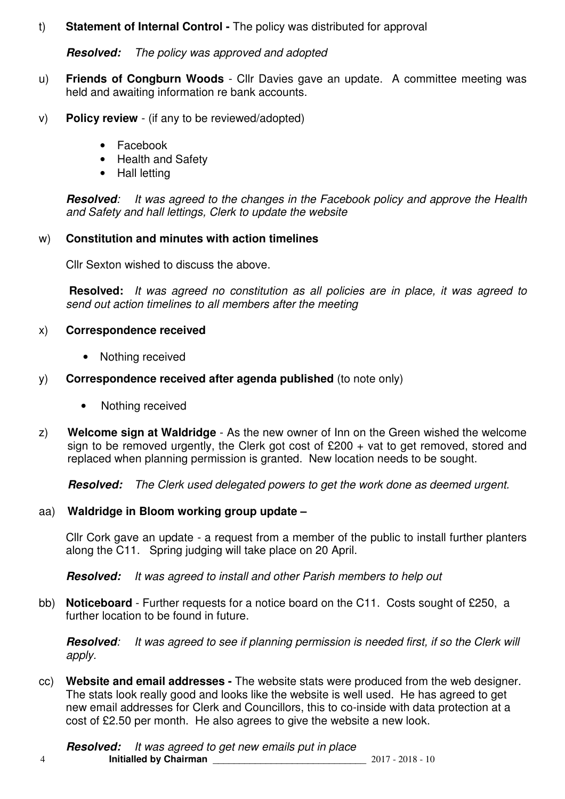## t) **Statement of Internal Control -** The policy was distributed for approval

## **Resolved:** The policy was approved and adopted

- u) **Friends of Congburn Woods**  Cllr Davies gave an update. A committee meeting was held and awaiting information re bank accounts.
- v) **Policy review**  (if any to be reviewed/adopted)
	- Facebook
	- Health and Safety
	- Hall letting

**Resolved:** It was agreed to the changes in the Facebook policy and approve the Health and Safety and hall lettings, Clerk to update the website

## w) **Constitution and minutes with action timelines**

Cllr Sexton wished to discuss the above.

 **Resolved:** It was agreed no constitution as all policies are in place, it was agreed to send out action timelines to all members after the meeting

## x) **Correspondence received**

- Nothing received
- y) **Correspondence received after agenda published** (to note only)
	- Nothing received
- z) **Welcome sign at Waldridge** As the new owner of Inn on the Green wished the welcome sign to be removed urgently, the Clerk got cost of  $£200 + vat$  to get removed, stored and replaced when planning permission is granted. New location needs to be sought.

**Resolved:** The Clerk used delegated powers to get the work done as deemed urgent.

# aa) **Waldridge in Bloom working group update –**

Cllr Cork gave an update - a request from a member of the public to install further planters along the C11. Spring judging will take place on 20 April.

**Resolved:** It was agreed to install and other Parish members to help out

bb) **Noticeboard** - Further requests for a notice board on the C11. Costs sought of £250, a further location to be found in future.

**Resolved**: It was agreed to see if planning permission is needed first, if so the Clerk will apply.

cc) **Website and email addresses -** The website stats were produced from the web designer. The stats look really good and looks like the website is well used. He has agreed to get new email addresses for Clerk and Councillors, this to co-inside with data protection at a cost of £2.50 per month. He also agrees to give the website a new look.

4 **Initialled by Chairman** \_\_\_\_\_\_\_\_\_\_\_\_\_\_\_\_\_\_\_\_\_\_\_\_\_\_\_\_\_ 2017 - 2018 - 10 **Resolved:** It was agreed to get new emails put in place